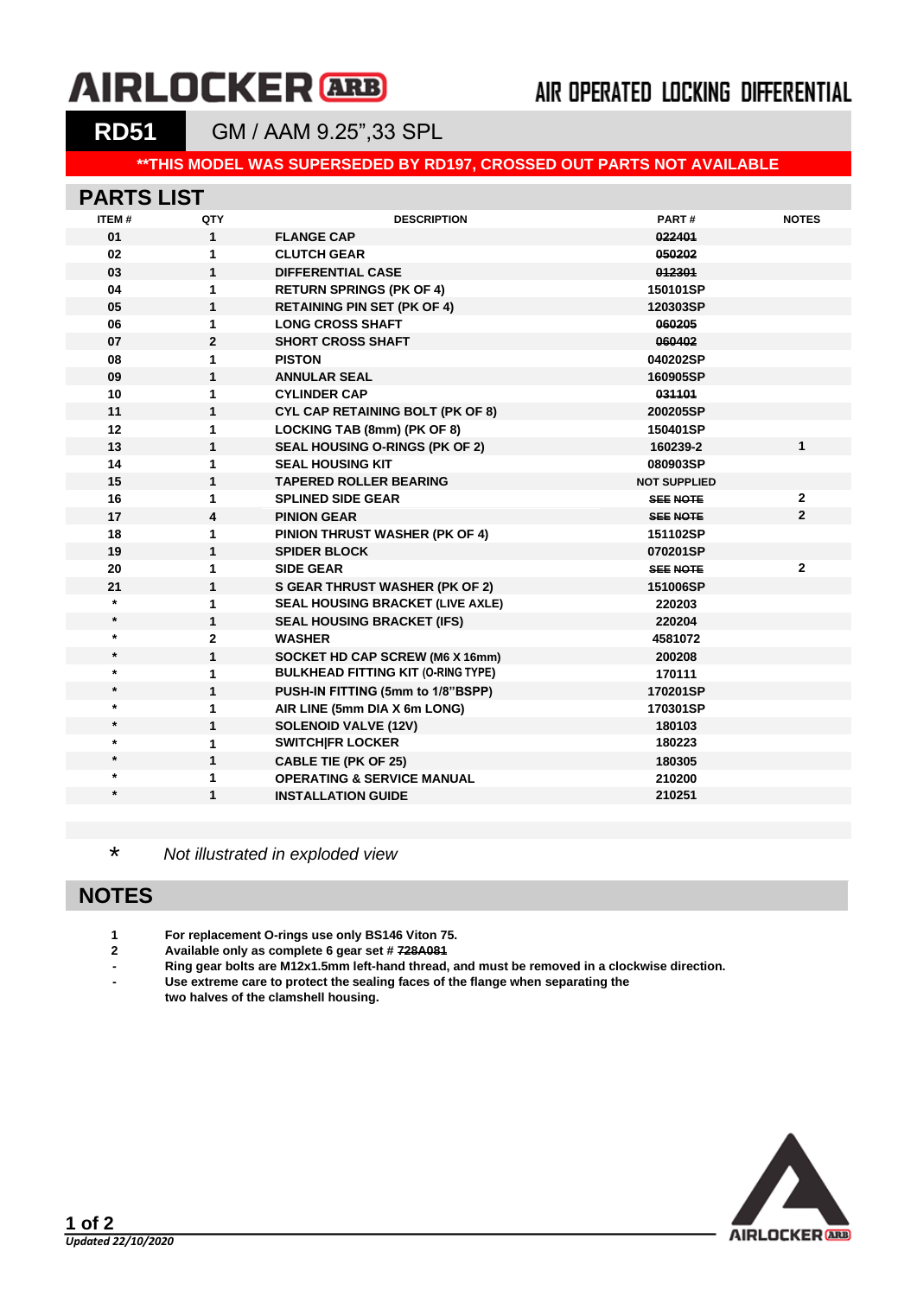# **AIRLOCKER ARB**

### AIR OPERATED LOCKING DIFFERENTIAL

**RD51** GM / AAM 9.25",33 SPL

#### **\*\*THIS MODEL WAS SUPERSEDED BY RD197, CROSSED OUT PARTS NOT AVAILABLE**

#### **PARTS LIST**

| ITEM#   | QTY            | <b>DESCRIPTION</b>                        | <b>PART#</b>        | <b>NOTES</b>   |
|---------|----------------|-------------------------------------------|---------------------|----------------|
| 01      | $\mathbf{1}$   | <b>FLANGE CAP</b>                         | 022401              |                |
| 02      | 1              | <b>CLUTCH GEAR</b>                        | 050202              |                |
| 03      | $\mathbf{1}$   | <b>DIFFERENTIAL CASE</b>                  | 012301              |                |
| 04      | 1              | <b>RETURN SPRINGS (PK OF 4)</b>           | 150101SP            |                |
| 05      | 1              | <b>RETAINING PIN SET (PK OF 4)</b>        | 120303SP            |                |
| 06      | $\mathbf{1}$   | <b>LONG CROSS SHAFT</b>                   | 060205              |                |
| 07      | $\overline{2}$ | <b>SHORT CROSS SHAFT</b>                  | 060402              |                |
| 08      | 1              | <b>PISTON</b>                             | 040202SP            |                |
| 09      | $\mathbf{1}$   | <b>ANNULAR SEAL</b>                       | 160905SP            |                |
| 10      | 1              | <b>CYLINDER CAP</b>                       | 031101              |                |
| 11      | $\mathbf{1}$   | <b>CYL CAP RETAINING BOLT (PK OF 8)</b>   | 200205SP            |                |
| 12      | 1              | LOCKING TAB (8mm) (PK OF 8)               | 150401SP            |                |
| 13      | $\mathbf{1}$   | <b>SEAL HOUSING O-RINGS (PK OF 2)</b>     | 160239-2            | $\mathbf 1$    |
| 14      | 1              | <b>SEAL HOUSING KIT</b>                   | 080903SP            |                |
| 15      | $\mathbf{1}$   | <b>TAPERED ROLLER BEARING</b>             | <b>NOT SUPPLIED</b> |                |
| 16      | 1              | <b>SPLINED SIDE GEAR</b>                  | <b>SEE NOTE</b>     | $\overline{2}$ |
| 17      | 4              | <b>PINION GEAR</b>                        | <b>SEE NOTE</b>     | $\overline{2}$ |
| 18      | 1              | PINION THRUST WASHER (PK OF 4)            | 151102SP            |                |
| 19      | $\mathbf{1}$   | <b>SPIDER BLOCK</b>                       | 070201SP            |                |
| 20      | 1              | <b>SIDE GEAR</b>                          | <b>SEE NOTE</b>     | $\mathbf{2}$   |
| 21      | 1              | <b>S GEAR THRUST WASHER (PK OF 2)</b>     | 151006SP            |                |
| $\star$ | 1              | <b>SEAL HOUSING BRACKET (LIVE AXLE)</b>   | 220203              |                |
| $\star$ | $\mathbf{1}$   | <b>SEAL HOUSING BRACKET (IFS)</b>         | 220204              |                |
| $\star$ | $\mathbf{2}$   | <b>WASHER</b>                             | 4581072             |                |
| $\star$ | $\mathbf{1}$   | SOCKET HD CAP SCREW (M6 X 16mm)           | 200208              |                |
| $\star$ | 1              | <b>BULKHEAD FITTING KIT (O-RING TYPE)</b> | 170111              |                |
| $\star$ | 1              | PUSH-IN FITTING (5mm to 1/8"BSPP)         | 170201SP            |                |
| $\star$ | 1              | AIR LINE (5mm DIA X 6m LONG)              | 170301SP            |                |
| $\star$ | $\mathbf{1}$   | <b>SOLENOID VALVE (12V)</b>               | 180103              |                |
| $\star$ | 1              | <b>SWITCHIFR LOCKER</b>                   | 180223              |                |
| $\star$ | 1              | <b>CABLE TIE (PK OF 25)</b>               | 180305              |                |
| $\star$ | 1              | <b>OPERATING &amp; SERVICE MANUAL</b>     | 210200              |                |
| $\star$ | 1              | <b>INSTALLATION GUIDE</b>                 | 210251              |                |

\* *Not illustrated in exploded view*

### **NOTES**

- **1 For replacement O-rings use only BS146 Viton 75.**
- **2 Available only as complete 6 gear set # 728A081**
- **- Ring gear bolts are M12x1.5mm left-hand thread, and must be removed in a clockwise direction.**
- **- Use extreme care to protect the sealing faces of the flange when separating the**